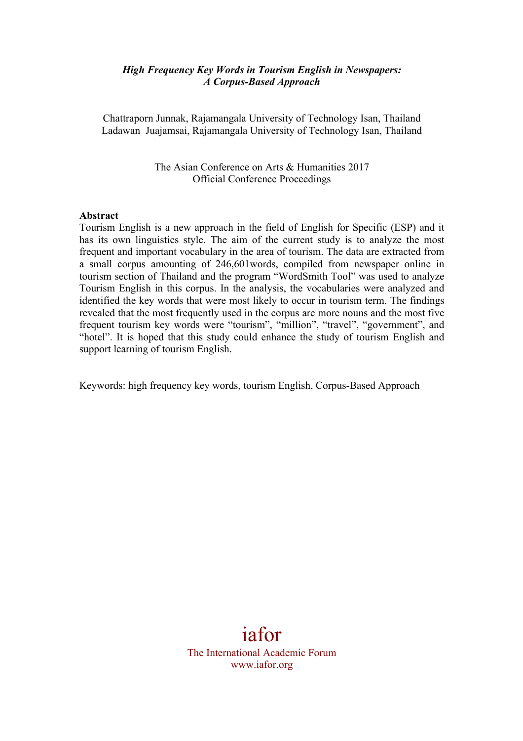#### *High Frequency Key Words in Tourism English in Newspapers: A Corpus-Based Approach*

Chattraporn Junnak, Rajamangala University of Technology Isan, Thailand Ladawan Juajamsai, Rajamangala University of Technology Isan, Thailand

> The Asian Conference on Arts & Humanities 2017 Official Conference Proceedings

#### **Abstract**

Tourism English is a new approach in the field of English for Specific (ESP) and it has its own linguistics style. The aim of the current study is to analyze the most frequent and important vocabulary in the area of tourism. The data are extracted from a small corpus amounting of 246,601words, compiled from newspaper online in tourism section of Thailand and the program "WordSmith Tool" was used to analyze Tourism English in this corpus. In the analysis, the vocabularies were analyzed and identified the key words that were most likely to occur in tourism term. The findings revealed that the most frequently used in the corpus are more nouns and the most five frequent tourism key words were "tourism", "million", "travel", "government", and "hotel". It is hoped that this study could enhance the study of tourism English and support learning of tourism English.

Keywords: high frequency key words, tourism English, Corpus-Based Approach

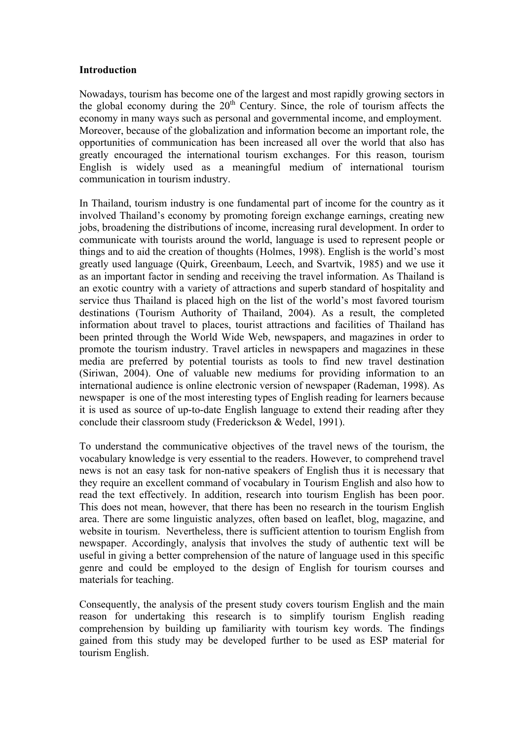#### **Introduction**

Nowadays, tourism has become one of the largest and most rapidly growing sectors in the global economy during the  $20<sup>th</sup>$  Century. Since, the role of tourism affects the economy in many ways such as personal and governmental income, and employment. Moreover, because of the globalization and information become an important role, the opportunities of communication has been increased all over the world that also has greatly encouraged the international tourism exchanges. For this reason, tourism English is widely used as a meaningful medium of international tourism communication in tourism industry.

In Thailand, tourism industry is one fundamental part of income for the country as it involved Thailand's economy by promoting foreign exchange earnings, creating new jobs, broadening the distributions of income, increasing rural development. In order to communicate with tourists around the world, language is used to represent people or things and to aid the creation of thoughts (Holmes, 1998). English is the world's most greatly used language (Quirk, Greenbaum, Leech, and Svartvik, 1985) and we use it as an important factor in sending and receiving the travel information. As Thailand is an exotic country with a variety of attractions and superb standard of hospitality and service thus Thailand is placed high on the list of the world's most favored tourism destinations (Tourism Authority of Thailand, 2004). As a result, the completed information about travel to places, tourist attractions and facilities of Thailand has been printed through the World Wide Web, newspapers, and magazines in order to promote the tourism industry. Travel articles in newspapers and magazines in these media are preferred by potential tourists as tools to find new travel destination (Siriwan, 2004). One of valuable new mediums for providing information to an international audience is online electronic version of newspaper (Rademan, 1998). As newspaper is one of the most interesting types of English reading for learners because it is used as source of up-to-date English language to extend their reading after they conclude their classroom study (Frederickson & Wedel, 1991).

To understand the communicative objectives of the travel news of the tourism, the vocabulary knowledge is very essential to the readers. However, to comprehend travel news is not an easy task for non-native speakers of English thus it is necessary that they require an excellent command of vocabulary in Tourism English and also how to read the text effectively. In addition, research into tourism English has been poor. This does not mean, however, that there has been no research in the tourism English area. There are some linguistic analyzes, often based on leaflet, blog, magazine, and website in tourism. Nevertheless, there is sufficient attention to tourism English from newspaper. Accordingly, analysis that involves the study of authentic text will be useful in giving a better comprehension of the nature of language used in this specific genre and could be employed to the design of English for tourism courses and materials for teaching.

Consequently, the analysis of the present study covers tourism English and the main reason for undertaking this research is to simplify tourism English reading comprehension by building up familiarity with tourism key words. The findings gained from this study may be developed further to be used as ESP material for tourism English.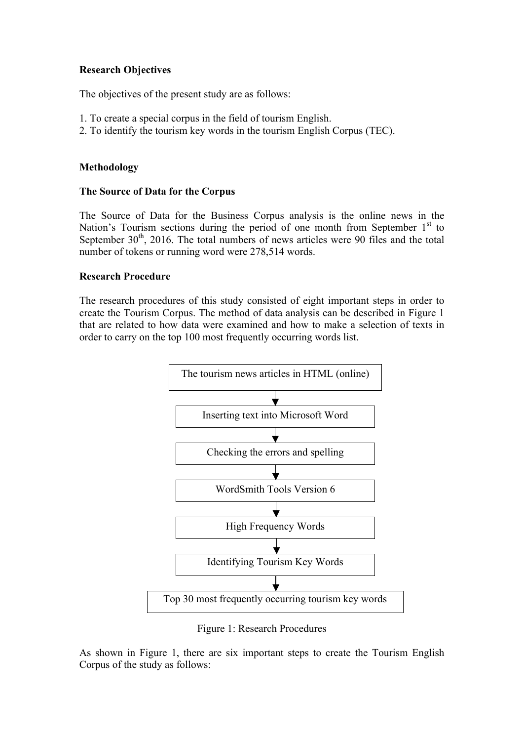# **Research Objectives**

The objectives of the present study are as follows:

- 1. To create a special corpus in the field of tourism English.
- 2. To identify the tourism key words in the tourism English Corpus (TEC).

# **Methodology**

## **The Source of Data for the Corpus**

The Source of Data for the Business Corpus analysis is the online news in the Nation's Tourism sections during the period of one month from September  $1<sup>st</sup>$  to September  $30<sup>th</sup>$ , 2016. The total numbers of news articles were 90 files and the total number of tokens or running word were 278,514 words.

### **Research Procedure**

The research procedures of this study consisted of eight important steps in order to create the Tourism Corpus. The method of data analysis can be described in Figure 1 that are related to how data were examined and how to make a selection of texts in order to carry on the top 100 most frequently occurring words list.



Figure 1: Research Procedures

As shown in Figure 1, there are six important steps to create the Tourism English Corpus of the study as follows: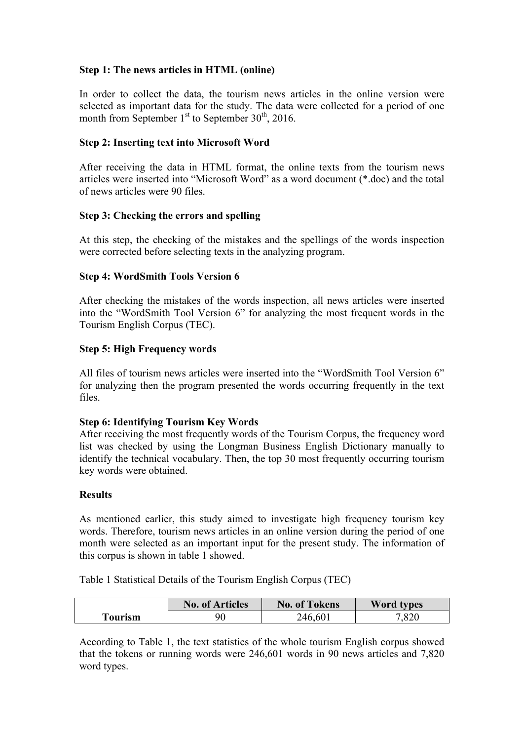# **Step 1: The news articles in HTML (online)**

In order to collect the data, the tourism news articles in the online version were selected as important data for the study. The data were collected for a period of one month from September  $1<sup>st</sup>$  to September 30<sup>th</sup>, 2016.

### **Step 2: Inserting text into Microsoft Word**

After receiving the data in HTML format, the online texts from the tourism news articles were inserted into "Microsoft Word" as a word document (\*.doc) and the total of news articles were 90 files.

### **Step 3: Checking the errors and spelling**

At this step, the checking of the mistakes and the spellings of the words inspection were corrected before selecting texts in the analyzing program.

### **Step 4: WordSmith Tools Version 6**

After checking the mistakes of the words inspection, all news articles were inserted into the "WordSmith Tool Version 6" for analyzing the most frequent words in the Tourism English Corpus (TEC).

### **Step 5: High Frequency words**

All files of tourism news articles were inserted into the "WordSmith Tool Version 6" for analyzing then the program presented the words occurring frequently in the text files.

#### **Step 6: Identifying Tourism Key Words**

After receiving the most frequently words of the Tourism Corpus, the frequency word list was checked by using the Longman Business English Dictionary manually to identify the technical vocabulary. Then, the top 30 most frequently occurring tourism key words were obtained.

#### **Results**

As mentioned earlier, this study aimed to investigate high frequency tourism key words. Therefore, tourism news articles in an online version during the period of one month were selected as an important input for the present study. The information of this corpus is shown in table 1 showed.

Table 1 Statistical Details of the Tourism English Corpus (TEC)

|         | <b>No. of Articles</b> | <b>No. of Tokens</b> | <b>Word types</b> |
|---------|------------------------|----------------------|-------------------|
| Fourism | 90                     | 246,601              | 7.820             |

According to Table 1, the text statistics of the whole tourism English corpus showed that the tokens or running words were 246,601 words in 90 news articles and 7,820 word types.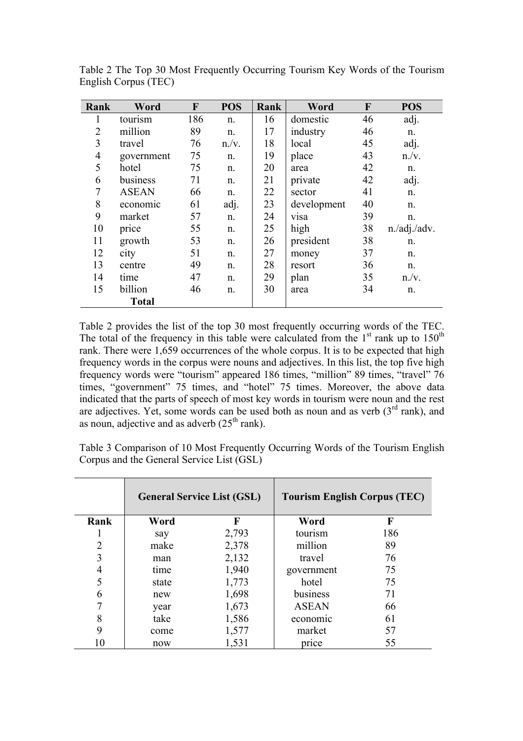| Rank           | Word         | F   | <b>POS</b> | Rank | Word        | F  | <b>POS</b>      |
|----------------|--------------|-----|------------|------|-------------|----|-----------------|
| 1              | tourism      | 186 | n.         | 16   | domestic    | 46 | adj.            |
| $\overline{2}$ | million      | 89  | n.         | 17   | industry    | 46 | n.              |
| 3              | travel       | 76  | n./v.      | 18   | local       | 45 | adj.            |
| $\overline{4}$ | government   | 75  | n.         | 19   | place       | 43 | n./v.           |
| 5              | hotel        | 75  | n.         | 20   | area        | 42 | n.              |
| 6              | business     | 71  | n.         | 21   | private     | 42 | adj.            |
| 7              | <b>ASEAN</b> | 66  | n.         | 22   | sector      | 41 | n.              |
| 8              | economic     | 61  | adj.       | 23   | development | 40 | n.              |
| 9              | market       | 57  | n.         | 24   | visa        | 39 | n.              |
| 10             | price        | 55  | n.         | 25   | high        | 38 | $n$ ./adj./adv. |
| 11             | growth       | 53  | n.         | 26   | president   | 38 | n.              |
| 12             | city         | 51  | n.         | 27   | money       | 37 | n.              |
| 13             | centre       | 49  | n.         | 28   | resort      | 36 | n.              |
| 14             | time         | 47  | n.         | 29   | plan        | 35 | n./v.           |
| 15             | billion      | 46  | n.         | 30   | area        | 34 | n.              |
|                | <b>Total</b> |     |            |      |             |    |                 |

Table 2 The Top 30 Most Frequently Occurring Tourism Key Words of the Tourism English Corpus (TEC)

Table 2 provides the list of the top 30 most frequently occurring words of the TEC. The total of the frequency in this table were calculated from the  $1<sup>st</sup>$  rank up to  $150<sup>th</sup>$ rank. There were 1,659 occurrences of the whole corpus. It is to be expected that high frequency words in the corpus were nouns and adjectives. In this list, the top five high frequency words were "tourism" appeared 186 times, "million" 89 times, "travel" 76 times, "government" 75 times, and "hotel" 75 times. Moreover, the above data indicated that the parts of speech of most key words in tourism were noun and the rest are adjectives. Yet, some words can be used both as noun and as verb  $(3<sup>rd</sup> rank)$ , and as noun, adjective and as adverb  $(25<sup>th</sup> rank)$ .

Table 3 Comparison of 10 Most Frequently Occurring Words of the Tourism English Corpus and the General Service List (GSL)

|      |       | <b>General Service List (GSL)</b> | <b>Tourism English Corpus (TEC)</b> |             |  |
|------|-------|-----------------------------------|-------------------------------------|-------------|--|
| Rank | Word  | F                                 | Word                                | $\mathbf F$ |  |
|      | say   | 2,793                             | tourism                             | 186         |  |
| 2    | make  | 2,378                             | million                             | 89          |  |
| 3    | man   | 2,132                             | travel                              | 76          |  |
|      | time  | 1,940                             | government                          | 75          |  |
|      | state | 1,773                             | hotel                               | 75          |  |
| 6    | new   | 1,698                             | business                            | 71          |  |
|      | year  | 1,673                             | <b>ASEAN</b>                        | 66          |  |
| 8    | take  | 1,586                             | economic                            | 61          |  |
| 9    | come  | 1,577                             | market                              | 57          |  |
| 10   | now   | 1,531                             | price                               | 55          |  |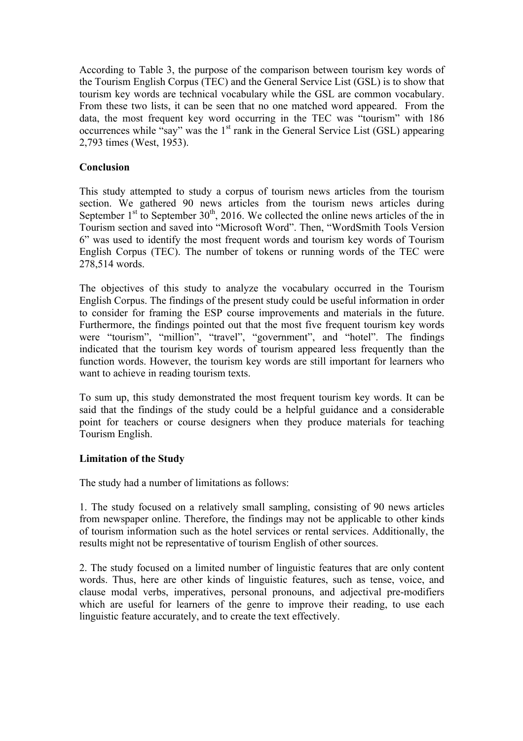According to Table 3, the purpose of the comparison between tourism key words of the Tourism English Corpus (TEC) and the General Service List (GSL) is to show that tourism key words are technical vocabulary while the GSL are common vocabulary. From these two lists, it can be seen that no one matched word appeared. From the data, the most frequent key word occurring in the TEC was "tourism" with 186 occurrences while "say" was the  $1<sup>st</sup>$  rank in the General Service List (GSL) appearing 2,793 times (West, 1953).

# **Conclusion**

This study attempted to study a corpus of tourism news articles from the tourism section. We gathered 90 news articles from the tourism news articles during September  $1<sup>st</sup>$  to September 30<sup>th</sup>, 2016. We collected the online news articles of the in Tourism section and saved into "Microsoft Word". Then, "WordSmith Tools Version 6" was used to identify the most frequent words and tourism key words of Tourism English Corpus (TEC). The number of tokens or running words of the TEC were 278,514 words.

The objectives of this study to analyze the vocabulary occurred in the Tourism English Corpus. The findings of the present study could be useful information in order to consider for framing the ESP course improvements and materials in the future. Furthermore, the findings pointed out that the most five frequent tourism key words were "tourism", "million", "travel", "government", and "hotel". The findings indicated that the tourism key words of tourism appeared less frequently than the function words. However, the tourism key words are still important for learners who want to achieve in reading tourism texts.

To sum up, this study demonstrated the most frequent tourism key words. It can be said that the findings of the study could be a helpful guidance and a considerable point for teachers or course designers when they produce materials for teaching Tourism English.

# **Limitation of the Study**

The study had a number of limitations as follows:

1. The study focused on a relatively small sampling, consisting of 90 news articles from newspaper online. Therefore, the findings may not be applicable to other kinds of tourism information such as the hotel services or rental services. Additionally, the results might not be representative of tourism English of other sources.

2. The study focused on a limited number of linguistic features that are only content words. Thus, here are other kinds of linguistic features, such as tense, voice, and clause modal verbs, imperatives, personal pronouns, and adjectival pre-modifiers which are useful for learners of the genre to improve their reading, to use each linguistic feature accurately, and to create the text effectively.